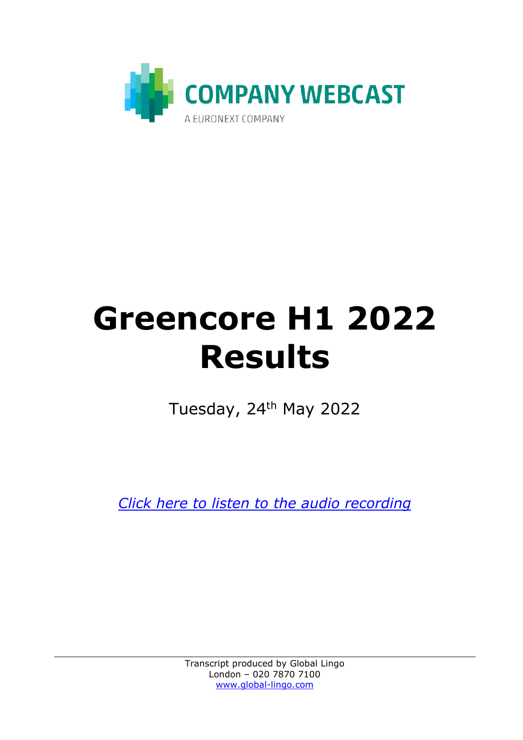

## **Greencore H1 2022 Results**

Tuesday, 24<sup>th</sup> May 2022

*[Click here to listen to the audio recording](https://www.greencore.com/app/uploads/2022/05/Greencore-Group-plc-H1-FY22-Results-Audio-Recording.mp3)*

Transcript produced by Global Lingo London – 020 7870 7100 [www.global-lingo.com](http://www.global-lingo.com/)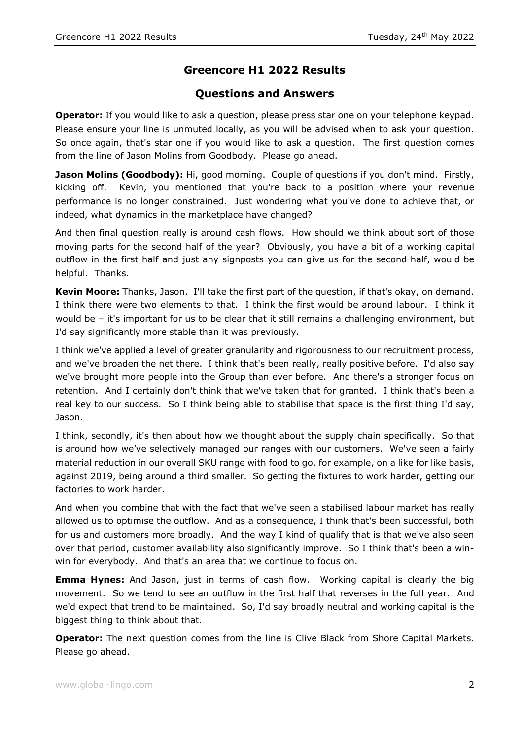## **Greencore H1 2022 Results**

## **Questions and Answers**

**Operator:** If you would like to ask a question, please press star one on your telephone keypad. Please ensure your line is unmuted locally, as you will be advised when to ask your question. So once again, that's star one if you would like to ask a question. The first question comes from the line of Jason Molins from Goodbody. Please go ahead.

**Jason Molins (Goodbody):** Hi, good morning. Couple of questions if you don't mind. Firstly, kicking off. Kevin, you mentioned that you're back to a position where your revenue performance is no longer constrained. Just wondering what you've done to achieve that, or indeed, what dynamics in the marketplace have changed?

And then final question really is around cash flows. How should we think about sort of those moving parts for the second half of the year? Obviously, you have a bit of a working capital outflow in the first half and just any signposts you can give us for the second half, would be helpful. Thanks.

**Kevin Moore:** Thanks, Jason. I'll take the first part of the question, if that's okay, on demand. I think there were two elements to that. I think the first would be around labour. I think it would be – it's important for us to be clear that it still remains a challenging environment, but I'd say significantly more stable than it was previously.

I think we've applied a level of greater granularity and rigorousness to our recruitment process, and we've broaden the net there. I think that's been really, really positive before. I'd also say we've brought more people into the Group than ever before. And there's a stronger focus on retention. And I certainly don't think that we've taken that for granted. I think that's been a real key to our success. So I think being able to stabilise that space is the first thing I'd say, Jason.

I think, secondly, it's then about how we thought about the supply chain specifically. So that is around how we've selectively managed our ranges with our customers. We've seen a fairly material reduction in our overall SKU range with food to go, for example, on a like for like basis, against 2019, being around a third smaller. So getting the fixtures to work harder, getting our factories to work harder.

And when you combine that with the fact that we've seen a stabilised labour market has really allowed us to optimise the outflow. And as a consequence, I think that's been successful, both for us and customers more broadly. And the way I kind of qualify that is that we've also seen over that period, customer availability also significantly improve. So I think that's been a winwin for everybody. And that's an area that we continue to focus on.

**Emma Hynes:** And Jason, just in terms of cash flow. Working capital is clearly the big movement. So we tend to see an outflow in the first half that reverses in the full year. And we'd expect that trend to be maintained. So, I'd say broadly neutral and working capital is the biggest thing to think about that.

**Operator:** The next question comes from the line is Clive Black from Shore Capital Markets. Please go ahead.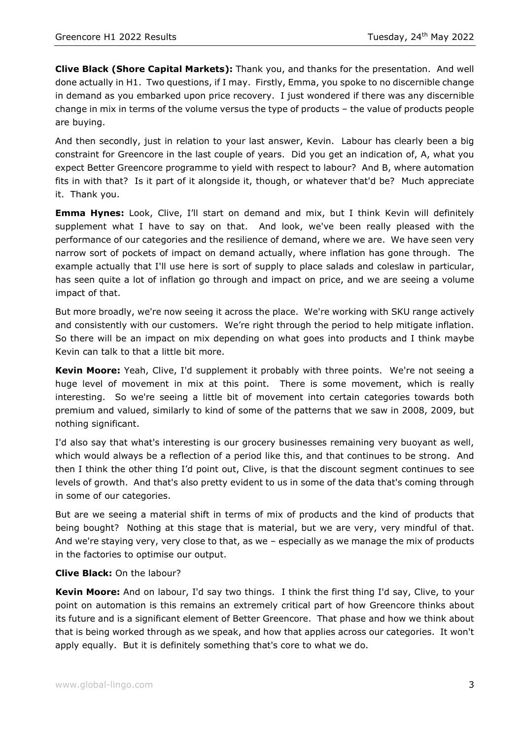**Clive Black (Shore Capital Markets):** Thank you, and thanks for the presentation. And well done actually in H1. Two questions, if I may. Firstly, Emma, you spoke to no discernible change in demand as you embarked upon price recovery. I just wondered if there was any discernible change in mix in terms of the volume versus the type of products – the value of products people are buying.

And then secondly, just in relation to your last answer, Kevin. Labour has clearly been a big constraint for Greencore in the last couple of years. Did you get an indication of, A, what you expect Better Greencore programme to yield with respect to labour? And B, where automation fits in with that? Is it part of it alongside it, though, or whatever that'd be? Much appreciate it. Thank you.

**Emma Hynes:** Look, Clive, I'll start on demand and mix, but I think Kevin will definitely supplement what I have to say on that. And look, we've been really pleased with the performance of our categories and the resilience of demand, where we are. We have seen very narrow sort of pockets of impact on demand actually, where inflation has gone through. The example actually that I'll use here is sort of supply to place salads and coleslaw in particular, has seen quite a lot of inflation go through and impact on price, and we are seeing a volume impact of that.

But more broadly, we're now seeing it across the place. We're working with SKU range actively and consistently with our customers. We're right through the period to help mitigate inflation. So there will be an impact on mix depending on what goes into products and I think maybe Kevin can talk to that a little bit more.

**Kevin Moore:** Yeah, Clive, I'd supplement it probably with three points. We're not seeing a huge level of movement in mix at this point. There is some movement, which is really interesting. So we're seeing a little bit of movement into certain categories towards both premium and valued, similarly to kind of some of the patterns that we saw in 2008, 2009, but nothing significant.

I'd also say that what's interesting is our grocery businesses remaining very buoyant as well, which would always be a reflection of a period like this, and that continues to be strong. And then I think the other thing I'd point out, Clive, is that the discount segment continues to see levels of growth. And that's also pretty evident to us in some of the data that's coming through in some of our categories.

But are we seeing a material shift in terms of mix of products and the kind of products that being bought? Nothing at this stage that is material, but we are very, very mindful of that. And we're staying very, very close to that, as we – especially as we manage the mix of products in the factories to optimise our output.

## **Clive Black:** On the labour?

**Kevin Moore:** And on labour, I'd say two things. I think the first thing I'd say, Clive, to your point on automation is this remains an extremely critical part of how Greencore thinks about its future and is a significant element of Better Greencore. That phase and how we think about that is being worked through as we speak, and how that applies across our categories. It won't apply equally. But it is definitely something that's core to what we do.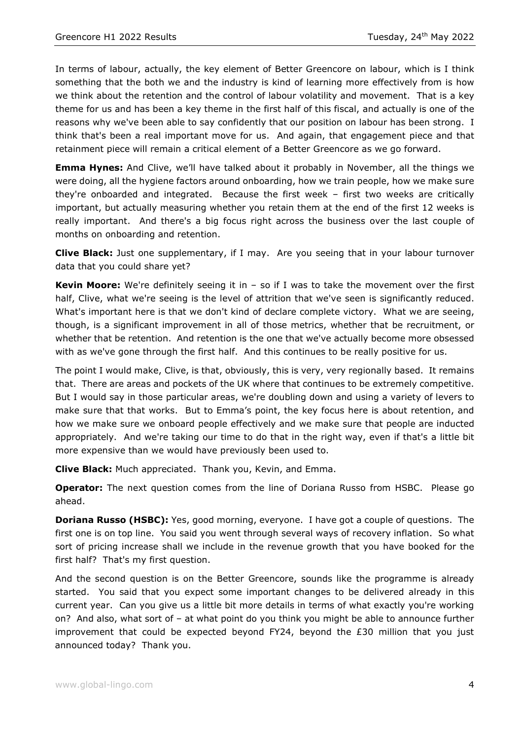In terms of labour, actually, the key element of Better Greencore on labour, which is I think something that the both we and the industry is kind of learning more effectively from is how we think about the retention and the control of labour volatility and movement. That is a key theme for us and has been a key theme in the first half of this fiscal, and actually is one of the reasons why we've been able to say confidently that our position on labour has been strong. I think that's been a real important move for us. And again, that engagement piece and that retainment piece will remain a critical element of a Better Greencore as we go forward.

**Emma Hynes:** And Clive, we'll have talked about it probably in November, all the things we were doing, all the hygiene factors around onboarding, how we train people, how we make sure they're onboarded and integrated. Because the first week – first two weeks are critically important, but actually measuring whether you retain them at the end of the first 12 weeks is really important. And there's a big focus right across the business over the last couple of months on onboarding and retention.

**Clive Black:** Just one supplementary, if I may. Are you seeing that in your labour turnover data that you could share yet?

**Kevin Moore:** We're definitely seeing it in – so if I was to take the movement over the first half, Clive, what we're seeing is the level of attrition that we've seen is significantly reduced. What's important here is that we don't kind of declare complete victory. What we are seeing, though, is a significant improvement in all of those metrics, whether that be recruitment, or whether that be retention. And retention is the one that we've actually become more obsessed with as we've gone through the first half. And this continues to be really positive for us.

The point I would make, Clive, is that, obviously, this is very, very regionally based. It remains that. There are areas and pockets of the UK where that continues to be extremely competitive. But I would say in those particular areas, we're doubling down and using a variety of levers to make sure that that works. But to Emma's point, the key focus here is about retention, and how we make sure we onboard people effectively and we make sure that people are inducted appropriately. And we're taking our time to do that in the right way, even if that's a little bit more expensive than we would have previously been used to.

**Clive Black:** Much appreciated. Thank you, Kevin, and Emma.

**Operator:** The next question comes from the line of Doriana Russo from HSBC. Please go ahead.

**Doriana Russo (HSBC):** Yes, good morning, everyone. I have got a couple of questions. The first one is on top line. You said you went through several ways of recovery inflation. So what sort of pricing increase shall we include in the revenue growth that you have booked for the first half? That's my first question.

And the second question is on the Better Greencore, sounds like the programme is already started. You said that you expect some important changes to be delivered already in this current year. Can you give us a little bit more details in terms of what exactly you're working on? And also, what sort of – at what point do you think you might be able to announce further improvement that could be expected beyond FY24, beyond the £30 million that you just announced today? Thank you.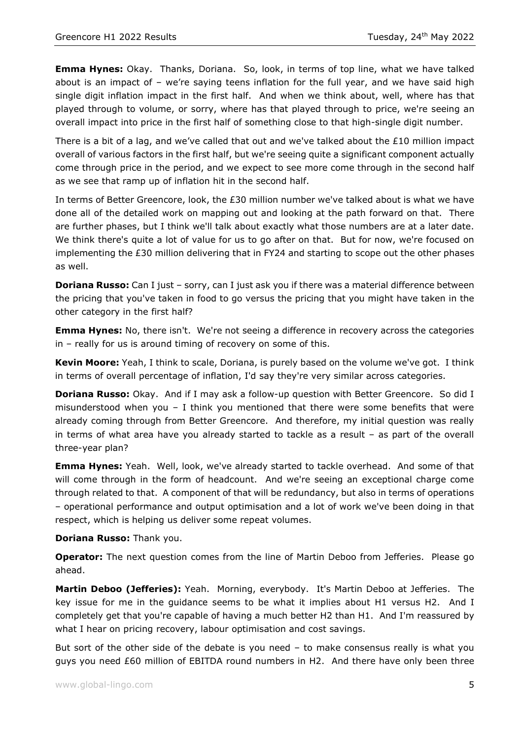**Emma Hynes:** Okay. Thanks, Doriana. So, look, in terms of top line, what we have talked about is an impact of – we're saying teens inflation for the full year, and we have said high single digit inflation impact in the first half. And when we think about, well, where has that played through to volume, or sorry, where has that played through to price, we're seeing an overall impact into price in the first half of something close to that high-single digit number.

There is a bit of a lag, and we've called that out and we've talked about the £10 million impact overall of various factors in the first half, but we're seeing quite a significant component actually come through price in the period, and we expect to see more come through in the second half as we see that ramp up of inflation hit in the second half.

In terms of Better Greencore, look, the £30 million number we've talked about is what we have done all of the detailed work on mapping out and looking at the path forward on that. There are further phases, but I think we'll talk about exactly what those numbers are at a later date. We think there's quite a lot of value for us to go after on that. But for now, we're focused on implementing the £30 million delivering that in FY24 and starting to scope out the other phases as well.

**Doriana Russo:** Can I just – sorry, can I just ask you if there was a material difference between the pricing that you've taken in food to go versus the pricing that you might have taken in the other category in the first half?

**Emma Hynes:** No, there isn't. We're not seeing a difference in recovery across the categories in – really for us is around timing of recovery on some of this.

**Kevin Moore:** Yeah, I think to scale, Doriana, is purely based on the volume we've got. I think in terms of overall percentage of inflation, I'd say they're very similar across categories.

**Doriana Russo:** Okay. And if I may ask a follow-up question with Better Greencore. So did I misunderstood when you – I think you mentioned that there were some benefits that were already coming through from Better Greencore. And therefore, my initial question was really in terms of what area have you already started to tackle as a result – as part of the overall three-year plan?

**Emma Hynes:** Yeah. Well, look, we've already started to tackle overhead. And some of that will come through in the form of headcount. And we're seeing an exceptional charge come through related to that. A component of that will be redundancy, but also in terms of operations – operational performance and output optimisation and a lot of work we've been doing in that respect, which is helping us deliver some repeat volumes.

**Doriana Russo:** Thank you.

**Operator:** The next question comes from the line of Martin Deboo from Jefferies. Please go ahead.

**Martin Deboo (Jefferies):** Yeah. Morning, everybody. It's Martin Deboo at Jefferies. The key issue for me in the guidance seems to be what it implies about H1 versus H2. And I completely get that you're capable of having a much better H2 than H1. And I'm reassured by what I hear on pricing recovery, labour optimisation and cost savings.

But sort of the other side of the debate is you need  $-$  to make consensus really is what you guys you need £60 million of EBITDA round numbers in H2. And there have only been three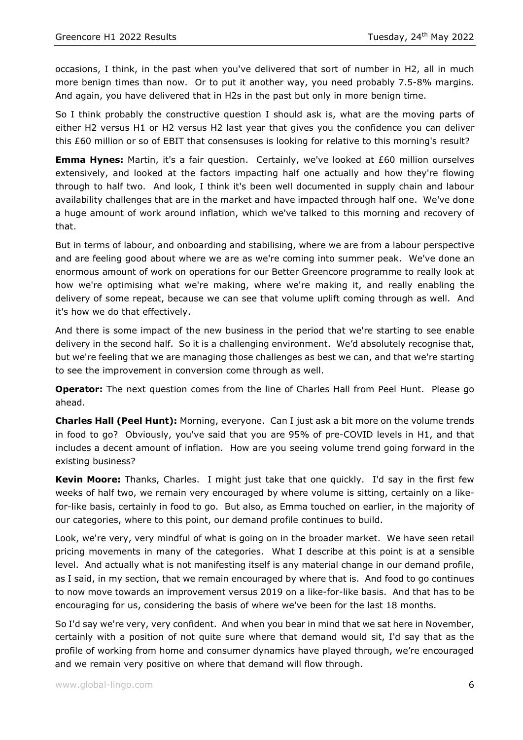occasions, I think, in the past when you've delivered that sort of number in H2, all in much more benign times than now. Or to put it another way, you need probably 7.5-8% margins. And again, you have delivered that in H2s in the past but only in more benign time.

So I think probably the constructive question I should ask is, what are the moving parts of either H2 versus H1 or H2 versus H2 last year that gives you the confidence you can deliver this £60 million or so of EBIT that consensuses is looking for relative to this morning's result?

**Emma Hynes:** Martin, it's a fair question. Certainly, we've looked at £60 million ourselves extensively, and looked at the factors impacting half one actually and how they're flowing through to half two. And look, I think it's been well documented in supply chain and labour availability challenges that are in the market and have impacted through half one. We've done a huge amount of work around inflation, which we've talked to this morning and recovery of that.

But in terms of labour, and onboarding and stabilising, where we are from a labour perspective and are feeling good about where we are as we're coming into summer peak. We've done an enormous amount of work on operations for our Better Greencore programme to really look at how we're optimising what we're making, where we're making it, and really enabling the delivery of some repeat, because we can see that volume uplift coming through as well. And it's how we do that effectively.

And there is some impact of the new business in the period that we're starting to see enable delivery in the second half. So it is a challenging environment. We'd absolutely recognise that, but we're feeling that we are managing those challenges as best we can, and that we're starting to see the improvement in conversion come through as well.

**Operator:** The next question comes from the line of Charles Hall from Peel Hunt. Please go ahead.

**Charles Hall (Peel Hunt):** Morning, everyone. Can I just ask a bit more on the volume trends in food to go? Obviously, you've said that you are 95% of pre-COVID levels in H1, and that includes a decent amount of inflation. How are you seeing volume trend going forward in the existing business?

**Kevin Moore:** Thanks, Charles. I might just take that one quickly. I'd say in the first few weeks of half two, we remain very encouraged by where volume is sitting, certainly on a likefor-like basis, certainly in food to go. But also, as Emma touched on earlier, in the majority of our categories, where to this point, our demand profile continues to build.

Look, we're very, very mindful of what is going on in the broader market. We have seen retail pricing movements in many of the categories. What I describe at this point is at a sensible level. And actually what is not manifesting itself is any material change in our demand profile, as I said, in my section, that we remain encouraged by where that is. And food to go continues to now move towards an improvement versus 2019 on a like-for-like basis. And that has to be encouraging for us, considering the basis of where we've been for the last 18 months.

So I'd say we're very, very confident. And when you bear in mind that we sat here in November, certainly with a position of not quite sure where that demand would sit, I'd say that as the profile of working from home and consumer dynamics have played through, we're encouraged and we remain very positive on where that demand will flow through.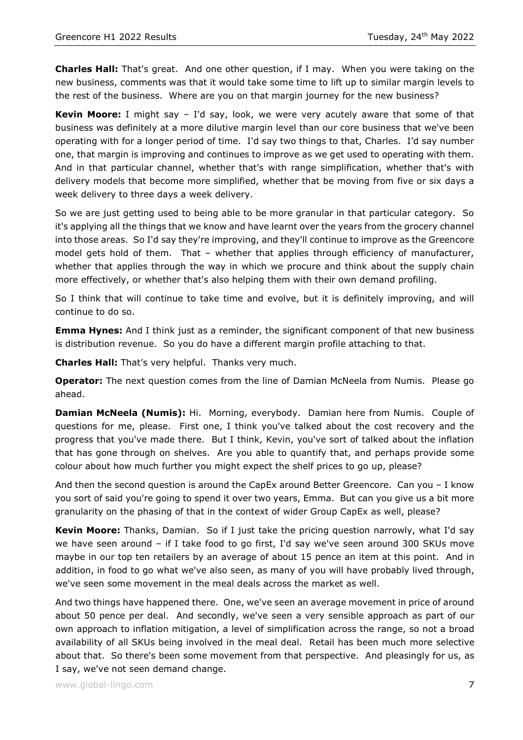**Charles Hall:** That's great. And one other question, if I may. When you were taking on the new business, comments was that it would take some time to lift up to similar margin levels to the rest of the business. Where are you on that margin journey for the new business?

**Kevin Moore:** I might say – I'd say, look, we were very acutely aware that some of that business was definitely at a more dilutive margin level than our core business that we've been operating with for a longer period of time. I'd say two things to that, Charles. I'd say number one, that margin is improving and continues to improve as we get used to operating with them. And in that particular channel, whether that's with range simplification, whether that's with delivery models that become more simplified, whether that be moving from five or six days a week delivery to three days a week delivery.

So we are just getting used to being able to be more granular in that particular category. So it's applying all the things that we know and have learnt over the years from the grocery channel into those areas. So I'd say they're improving, and they'll continue to improve as the Greencore model gets hold of them. That – whether that applies through efficiency of manufacturer, whether that applies through the way in which we procure and think about the supply chain more effectively, or whether that's also helping them with their own demand profiling.

So I think that will continue to take time and evolve, but it is definitely improving, and will continue to do so.

**Emma Hynes:** And I think just as a reminder, the significant component of that new business is distribution revenue. So you do have a different margin profile attaching to that.

**Charles Hall:** That's very helpful. Thanks very much.

**Operator:** The next question comes from the line of Damian McNeela from Numis. Please go ahead.

**Damian McNeela (Numis):** Hi. Morning, everybody. Damian here from Numis. Couple of questions for me, please. First one, I think you've talked about the cost recovery and the progress that you've made there. But I think, Kevin, you've sort of talked about the inflation that has gone through on shelves. Are you able to quantify that, and perhaps provide some colour about how much further you might expect the shelf prices to go up, please?

And then the second question is around the CapEx around Better Greencore. Can you – I know you sort of said you're going to spend it over two years, Emma. But can you give us a bit more granularity on the phasing of that in the context of wider Group CapEx as well, please?

**Kevin Moore:** Thanks, Damian. So if I just take the pricing question narrowly, what I'd say we have seen around – if I take food to go first, I'd say we've seen around 300 SKUs move maybe in our top ten retailers by an average of about 15 pence an item at this point. And in addition, in food to go what we've also seen, as many of you will have probably lived through, we've seen some movement in the meal deals across the market as well.

And two things have happened there. One, we've seen an average movement in price of around about 50 pence per deal. And secondly, we've seen a very sensible approach as part of our own approach to inflation mitigation, a level of simplification across the range, so not a broad availability of all SKUs being involved in the meal deal. Retail has been much more selective about that. So there's been some movement from that perspective. And pleasingly for us, as I say, we've not seen demand change.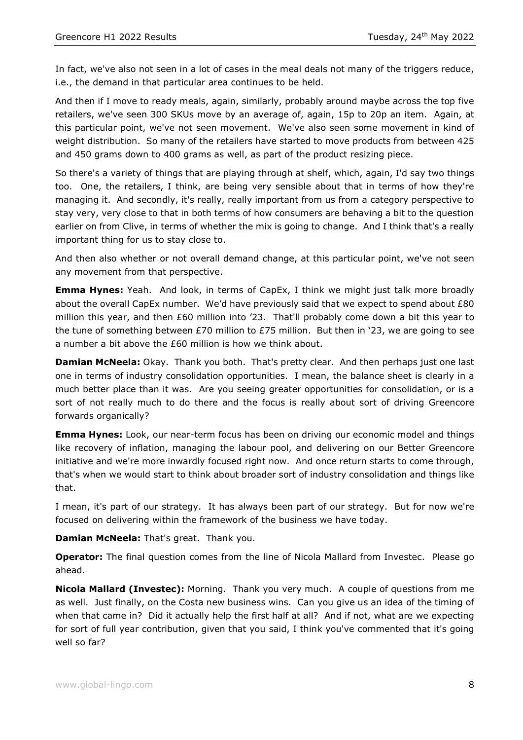In fact, we've also not seen in a lot of cases in the meal deals not many of the triggers reduce, i.e., the demand in that particular area continues to be held.

And then if I move to ready meals, again, similarly, probably around maybe across the top five retailers, we've seen 300 SKUs move by an average of, again, 15p to 20p an item. Again, at this particular point, we've not seen movement. We've also seen some movement in kind of weight distribution. So many of the retailers have started to move products from between 425 and 450 grams down to 400 grams as well, as part of the product resizing piece.

So there's a variety of things that are playing through at shelf, which, again, I'd say two things too. One, the retailers, I think, are being very sensible about that in terms of how they're managing it. And secondly, it's really, really important from us from a category perspective to stay very, very close to that in both terms of how consumers are behaving a bit to the question earlier on from Clive, in terms of whether the mix is going to change. And I think that's a really important thing for us to stay close to.

And then also whether or not overall demand change, at this particular point, we've not seen any movement from that perspective.

**Emma Hynes:** Yeah. And look, in terms of CapEx, I think we might just talk more broadly about the overall CapEx number. We'd have previously said that we expect to spend about £80 million this year, and then £60 million into '23. That'll probably come down a bit this year to the tune of something between £70 million to £75 million. But then in '23, we are going to see a number a bit above the £60 million is how we think about.

**Damian McNeela:** Okay. Thank you both. That's pretty clear. And then perhaps just one last one in terms of industry consolidation opportunities. I mean, the balance sheet is clearly in a much better place than it was. Are you seeing greater opportunities for consolidation, or is a sort of not really much to do there and the focus is really about sort of driving Greencore forwards organically?

**Emma Hynes:** Look, our near-term focus has been on driving our economic model and things like recovery of inflation, managing the labour pool, and delivering on our Better Greencore initiative and we're more inwardly focused right now. And once return starts to come through, that's when we would start to think about broader sort of industry consolidation and things like that.

I mean, it's part of our strategy. It has always been part of our strategy. But for now we're focused on delivering within the framework of the business we have today.

**Damian McNeela:** That's great. Thank you.

**Operator:** The final question comes from the line of Nicola Mallard from Investec. Please go ahead.

**Nicola Mallard (Investec):** Morning. Thank you very much. A couple of questions from me as well. Just finally, on the Costa new business wins. Can you give us an idea of the timing of when that came in? Did it actually help the first half at all? And if not, what are we expecting for sort of full year contribution, given that you said, I think you've commented that it's going well so far?